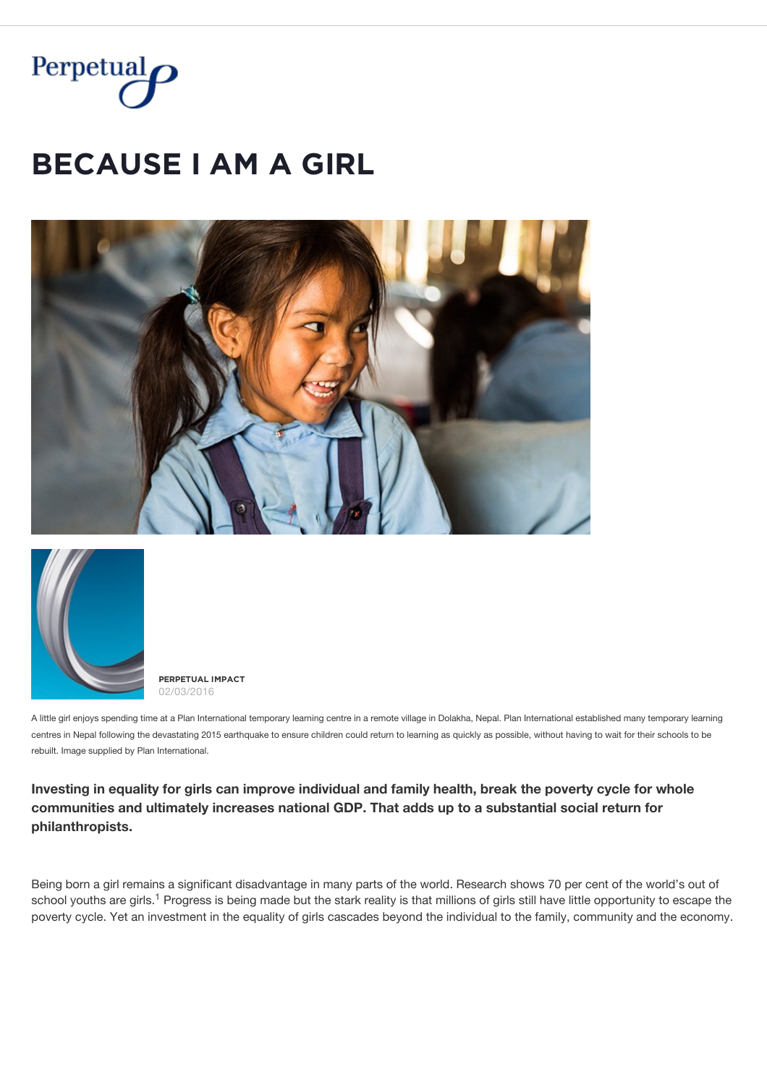

# **BECAUSE I AM A GIRL**





**PĚŘPĚȚŲǺĿ İMPǺČȚ** 02/03/2016

A little girl enjoys spending time at a Plan International temporary learning centre in a remote village in Dolakha, Nepal. Plan International established many temporary learning centres in Nepal following the devastating 2015 earthquake to ensure children could return to learning as quickly as possible, without having to wait for their schools to be rebuilt. Image supplied by Plan International.

**Investing in equality for girls can improve individual and family health, break the poverty cycle for whole communities and ultimately increases national GDP. That adds up to a substantial social return for philanthropists.**

Being born a girl remains a significant disadvantage in many parts of the world. Research shows 70 per cent of the world's out of school youths are girls.<sup>1</sup> Progress is being made but the stark reality is that millions of girls still have little opportunity to escape the poverty cycle. Yet an investment in the equality of girls cascades beyond the individual to the family, community and the economy.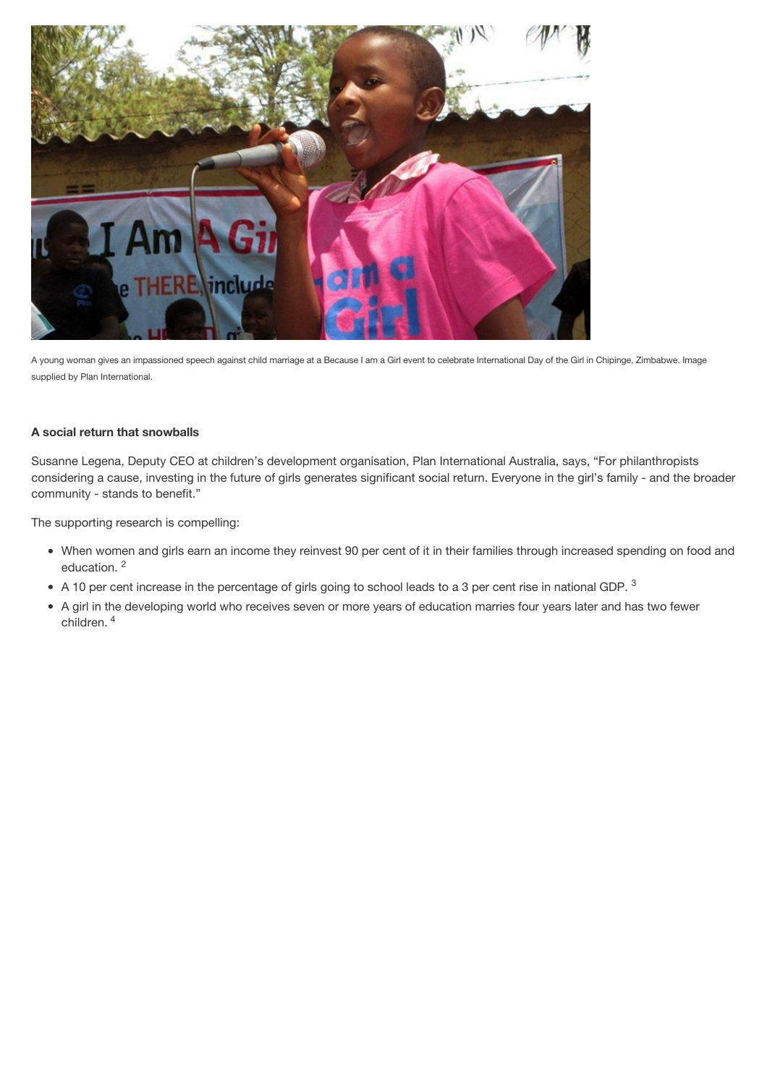

A young woman gives an impassioned speech against child marriage at a Because I am a Girl event to celebrate International Day of the Girl in Chipinge, Zimbabwe. Image supplied by Plan International.

## **A social return that snowballs**

Susanne Legena, Deputy CEO at children's development organisation, Plan International Australia, says, "For philanthropists considering a cause, investing in the future of girls generates significant social return. Everyone in the girl's family - and the broader community - stands to benefit."

The supporting research is compelling:

- When women and girls earn an income they reinvest 90 per cent of it in their families through increased spending on food and education. 2
- A 10 per cent increase in the percentage of girls going to school leads to a 3 per cent rise in national GDP.  $^3$
- A girl in the developing world who receives seven or more years of education marries four years later and has two fewer children. <sup>4</sup>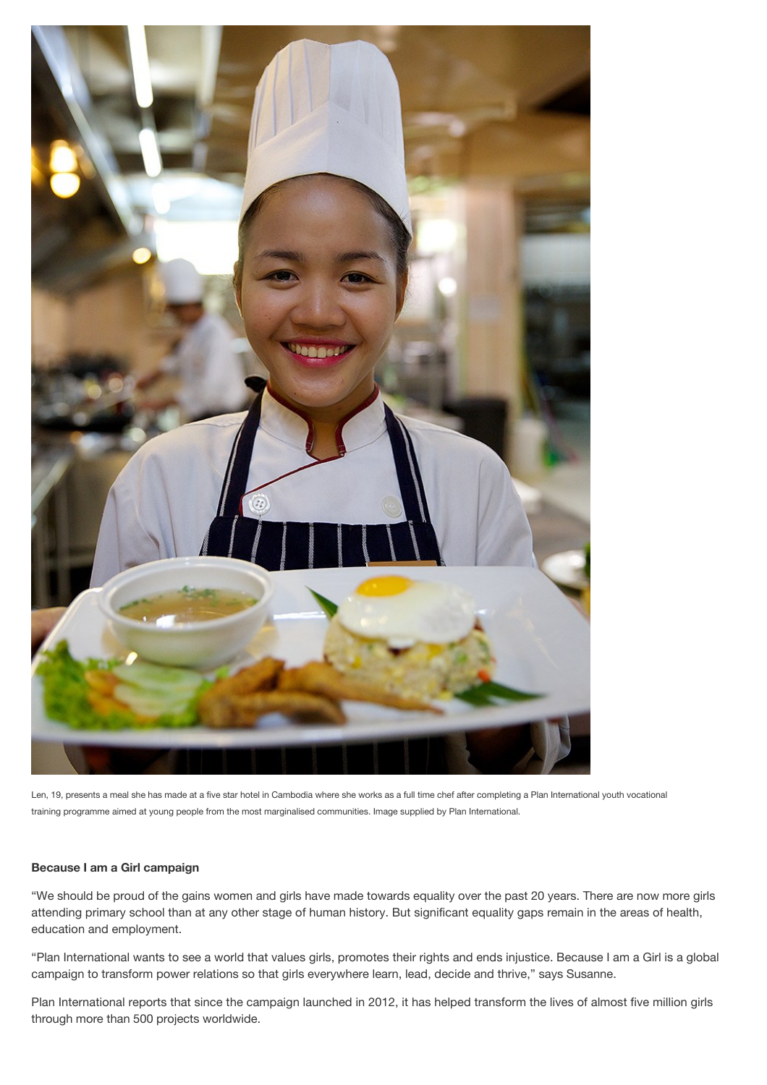

Len, 19, presents a meal she has made at a five star hotel in Cambodia where she works as a full time chef after completing a Plan International youth vocational training programme aimed at young people from the most marginalised communities. Image supplied by Plan International.

## **Because I am a Girl campaign**

"We should be proud of the gains women and girls have made towards equality over the past 20 years. There are now more girls attending primary school than at any other stage of human history. But significant equality gaps remain in the areas of health, education and employment.

"Plan International wants to see a world that values girls, promotes their rights and ends injustice. Because I am a Girl is a global campaign to transform power relations so that girls everywhere learn, lead, decide and thrive," says Susanne.

Plan International reports that since the campaign launched in 2012, it has helped transform the lives of almost five million girls through more than 500 projects worldwide.